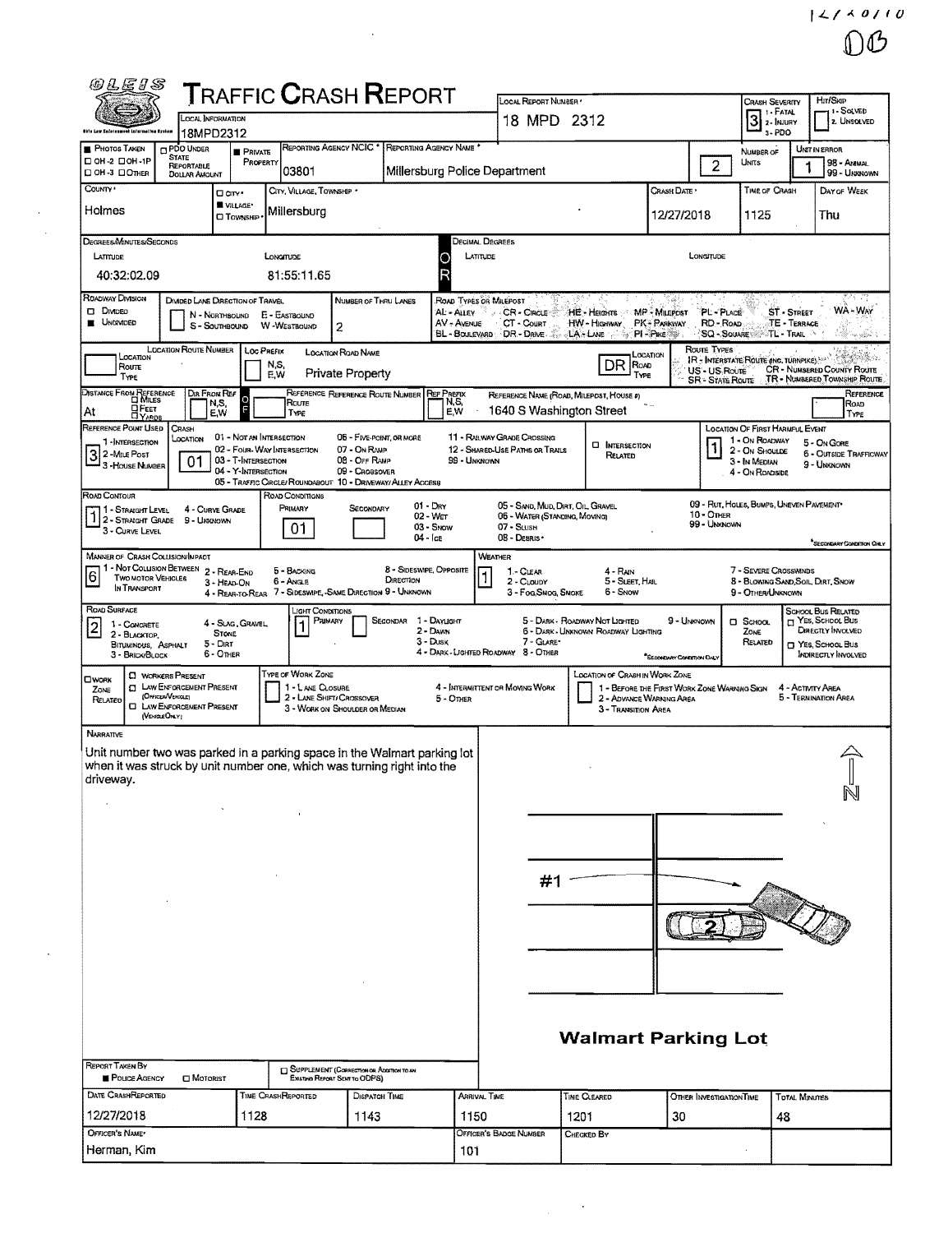| @LEIS                                                                                                                                               |                                                        | <b>T</b> RAFFIC <b>C</b> RASH <b>R</b> EPORT                                   |                               |                                                                |                                                                   |                                                                   |                                             |                            |                                                               |                          | Hrt/Skip                                                                    |
|-----------------------------------------------------------------------------------------------------------------------------------------------------|--------------------------------------------------------|--------------------------------------------------------------------------------|-------------------------------|----------------------------------------------------------------|-------------------------------------------------------------------|-------------------------------------------------------------------|---------------------------------------------|----------------------------|---------------------------------------------------------------|--------------------------|-----------------------------------------------------------------------------|
| LOCAL INFORMATION                                                                                                                                   |                                                        |                                                                                |                               |                                                                | LOCAL REPORT NUMBER .<br>18 MPD 2312                              |                                                                   |                                             |                            | Crash Severity<br>1 1 - Fatal<br>$3$ $\frac{1.14741}{2.1800}$ |                          | 11-SOLVED<br><b>2</b> UNSOLVED                                              |
| ökle Law Kaferesmunt Latarmettun Explore<br>18MPD2312<br><b>CI PDO UNDER</b><br><b>PHOTOS TAKEN</b>                                                 |                                                        | <b>REPORTING AGENCY NCIC *</b>                                                 | REPORTING AGENCY NAME         |                                                                |                                                                   |                                                                   |                                             |                            | 3-PDO                                                         |                          | UNIT IN ERROR                                                               |
| <b>STATE</b><br>D OH-2 DOH-IP<br><b>REPORTABLE</b><br>CI OH -3 LIOTHER                                                                              | <b>PRIVATE</b><br>PROPERTY                             | 03801                                                                          | Millersburg Police Department |                                                                |                                                                   |                                                                   |                                             | $\overline{2}$             | NUMBER OF<br>UNITS                                            |                          | 98 - ANNAL<br>99 - UNKNOWN                                                  |
| <b>DOLLAR AMOUNT</b><br>COUNTY *<br><b>O</b> city *                                                                                                 |                                                        | CITY, VILLAGE, TOWNSHIP .                                                      |                               |                                                                |                                                                   |                                                                   | Crash Date -                                |                            | <b>TIME OF CRASH</b>                                          |                          | DAY OF WEEK                                                                 |
| <b>WE VILLAGE*</b><br>Holmes<br><b>CI TOWNSHIP</b>                                                                                                  |                                                        | Millersburg                                                                    |                               |                                                                |                                                                   |                                                                   | 12/27/2018                                  |                            | 1125                                                          |                          | Thu                                                                         |
| DEGREES/MINUTES/SECONDS                                                                                                                             |                                                        |                                                                                |                               | DECIMAL DEGREES                                                |                                                                   |                                                                   |                                             |                            |                                                               |                          |                                                                             |
| LATITUDE                                                                                                                                            | LONGITUDE                                              |                                                                                | 0                             | LATITUDE                                                       |                                                                   |                                                                   |                                             | LONGITUDE                  |                                                               |                          |                                                                             |
| 40:32:02.09                                                                                                                                         |                                                        | 81:55:11.65                                                                    |                               |                                                                |                                                                   |                                                                   |                                             |                            |                                                               |                          |                                                                             |
| ROADWAY DIVISION<br>DIVIDED LANE DRECTION OF TRAVEL<br><b>DIMORO</b>                                                                                |                                                        | NUMBER OF THRU LANES                                                           | AL - ALLEY                    | ROAD TYPES OR MILEPOST<br>x<br>$\mathcal{A}$                   | CR-Cincus                                                         | HE Helgins MP Millerost                                           |                                             | PL-PLACE                   |                                                               | ST - STREET              | 93. PL<br>WA - Way                                                          |
| N - NORTHBOUND<br>UNDIVIDED<br>S - Southbound                                                                                                       | E - EASTBOUND<br><b>W-WESTBOUND</b>                    | 2                                                                              | AV - AVENUE                   |                                                                | CT - Court                                                        | HW-HIGHWAY PK-PARKWAY<br>BL BOULEVARD DR DAVE  LA LANE ST PI-PIKE |                                             | RD - Road<br>SQ - SQUARE   |                                                               | TE - TERRACE<br>TL-TRAIL | ra zippi                                                                    |
| <b>LOCATION ROUTE NUMBER</b><br>LOCATION                                                                                                            | <b>LOC PREFIX</b>                                      | <b>LOCATION ROAD NAME</b>                                                      |                               |                                                                |                                                                   | LOCATION                                                          |                                             | ROUTE TYPES                | IR - INTERSTATE ROUTE (INC. TURNPIKE)                         |                          | San Galleria                                                                |
| Route<br>TYPE                                                                                                                                       | N,S,<br>E,W                                            | Private Property                                                               |                               |                                                                |                                                                   | DR ROAD<br>TYPE                                                   |                                             | US - US Route              |                                                               |                          | CR - NUMBERED COUNTY ROUTE<br>SR - STATE ROUTE TR - NUMBERED TOWNSHIP ROUTE |
| DISTANCE FROM REFERENCE<br>I MILES<br>DIR FROM REF<br>N,S,                                                                                          |                                                        | REFERENCE REFERENCE ROUTE NUMBER<br>Route                                      | <b>REF PREFIX</b><br>N, S,    |                                                                |                                                                   | REFERENCE NAME (ROAD, MILEPOST, HOUSE #)                          |                                             |                            |                                                               |                          | REFERENCE<br>ROAD                                                           |
| <b>HEET</b><br>EW<br>At<br>REFERENCE POINT USED<br><b>CRASH</b>                                                                                     | F                                                      | TYPE                                                                           | E.W                           |                                                                | 1640 S Washington Street                                          |                                                                   |                                             |                            | LOCATION OF FIRST HARMFUL EVENT                               |                          | TYPE                                                                        |
| Location<br>1-INTERSECTION                                                                                                                          | 01 - Not an Intersection<br>02 - Four-Way Intersection | 07 - On RAMP                                                                   | 06 - FIVE-POINT, OR MORE      | 11 - RAILWAY GRADE CROSSING<br>12 - SHARED-USE PATHS OR TRAILS |                                                                   | <b>D</b> INTERSECTION<br>RELATED                                  |                                             |                            | 1 - On ROADWAY<br>2 - On Shoulde                              |                          | 5 - On Gore<br><b>6 - OUTSIDE TRAFFICWAY</b>                                |
| 3<br>3 - House Number<br>01                                                                                                                         | 03 - T-INTERSECTION<br>04 - Y-INTERSECTION             | 08 - OFF RAMP<br>09 - Crossover                                                |                               | 99 - UNKNOWN                                                   |                                                                   |                                                                   |                                             |                            | 3 - In Median<br>4 - On ROADSIDE                              |                          | 9 - UNKNOWN                                                                 |
| Road Contour                                                                                                                                        |                                                        | 05 - TRAFFIC CIRCLE/ ROUNDABOUT 10 - DRIVEWAY/ ALLEY ACCESS<br>ROAD CONDITIONS |                               |                                                                |                                                                   |                                                                   |                                             |                            |                                                               |                          |                                                                             |
| 1 - STRAIGHT LEVEL<br>4 - CURVE GRADE<br>2 - STRAGHT GRADE<br>9 - Unknown                                                                           |                                                        | PRIMARY<br>SECONDARY                                                           | $01 - Drv$<br>02 - Wer        |                                                                | 05 - SAND, MUD, DIRT, OIL GRAVEL<br>06 - WATER (STANDING, MOVING) |                                                                   |                                             | 10 - OTHER<br>99 - Ununown | 09 - RUT, HOLES, BUMPS, UNEVEN PAVEMENT*                      |                          |                                                                             |
| 3 - CURVE LEVEL                                                                                                                                     |                                                        | 01.                                                                            | $03 -$ SNOW<br>$04  1$ ce     | $07 -$ Sush<br>08 - Desris ·                                   |                                                                   |                                                                   |                                             |                            |                                                               |                          | SECONDARY CONDITION ONLY                                                    |
| <b>MANNER OF CRASH COLLISION/IMPACT</b><br>1 - Not Colusion Between 2 - REAR-END                                                                    |                                                        | 5 - BACKING                                                                    | 8 - SIDESWIPE, OPPOSITE       | <b>WEATHER</b>                                                 | 1 - CLEAR                                                         | $4 - R_{AN}$                                                      |                                             |                            | 7 - SEVERE CROSSWINDS                                         |                          |                                                                             |
| $6 \overline{6}$<br><b>TWO MOTOR VEHICLES</b><br>3 - HEAD-ON<br>In TRANSPORT                                                                        |                                                        | 6 - Angle<br>4 - REAR-TO-REAR 7 - SIDESWIPE, -SAME DIRECTION 9 - UNKNOWN       | DIRECTION                     |                                                                | 2 - CLOUDY<br>3 - Fog, Smog, Smoke                                | 5 - Sleet, Hall<br>6 - Snow                                       |                                             |                            | 8 - BLOWING SAND, SOIL, DIRT, SNOW<br>9 - OTHER/UNKNOWN       |                          |                                                                             |
| ROAD SURFACE                                                                                                                                        |                                                        | ight Conditions.<br>PRIMARY                                                    | SECONDAR 1 - DAYLIGHT         |                                                                | 5 - DARK - ROADWAY NOT LIGHTED                                    |                                                                   | 9 - UNKNOWN                                 |                            | $\square$ School                                              |                          | SCHOOL BUS RELATED<br>T YES, SCHOOL BUS                                     |
| 4 - Slag, Gravel,<br>1 - CONCRETE<br>$\overline{2}$<br><b>STONE</b><br>$2 - B$ LACKTOP<br>$5 -$ Dirt<br>BITUMINOUS, ASPHALT                         |                                                        | 1                                                                              | $2 -$ Dawn<br>$3 - D$ usk     |                                                                | 7 - GLARE*                                                        | 6 - DARK - UNKNOWN ROADWAY LIGHTING                               |                                             |                            | ZONE<br>RELATED                                               |                          | Directly Involved<br>T YES, SCHOOL BUS                                      |
| 6 - OTHER<br>3 - BRICK/BLOCK                                                                                                                        |                                                        |                                                                                |                               | 4 - DARK - LIGHTED ROADWAY 8 - OTHER                           |                                                                   |                                                                   | "SECONDARY CONDITION DALY                   |                            |                                                               |                          | <b>INDIRECTLY INVOLVED</b>                                                  |
| <b>CI WORKERS PRESENT</b><br><b>OWORK</b><br><b>CI LAW ENFORCEMENT PRESENT</b><br>ZONE                                                              |                                                        | TYPE OF WORK ZONE<br>1 - LANE CLOSURE                                          |                               | 4 - INTERMITTENT OR MOVING WORK                                |                                                                   | LOCATION OF CRASH IN WORK ZONE                                    | 1 - BEFORE THE FIRST WORK ZONE WARMING SIGN |                            |                                                               | 4 - Activity Area        |                                                                             |
| (OFFICER/VEHICLE)<br>RELATED<br><b>EI LAW ENFORCEMENT PRESENT</b><br>(VEHOLE ONLY)                                                                  |                                                        | 2 - LANE SHIFT/ CROSSOVER<br>3 - WORK ON SHOULDER OR MEDIAN                    | $5 -$ Other                   |                                                                |                                                                   | 2 - ADVANCE WARNING AREA<br>3 - TRANSITION AREA                   |                                             |                            |                                                               |                          | 5 - TERNINATION AREA                                                        |
| Narrative                                                                                                                                           |                                                        |                                                                                |                               |                                                                |                                                                   |                                                                   |                                             |                            |                                                               |                          |                                                                             |
| Unit number two was parked in a parking space in the Walmart parking lot<br>when it was struck by unit number one, which was turning right into the |                                                        |                                                                                |                               |                                                                |                                                                   |                                                                   |                                             |                            |                                                               |                          |                                                                             |
| driveway.                                                                                                                                           |                                                        |                                                                                |                               |                                                                |                                                                   |                                                                   |                                             |                            |                                                               |                          |                                                                             |
|                                                                                                                                                     |                                                        |                                                                                |                               |                                                                |                                                                   |                                                                   |                                             |                            |                                                               |                          |                                                                             |
|                                                                                                                                                     |                                                        |                                                                                |                               |                                                                |                                                                   |                                                                   |                                             |                            |                                                               |                          |                                                                             |
|                                                                                                                                                     |                                                        |                                                                                |                               |                                                                |                                                                   |                                                                   |                                             |                            |                                                               |                          |                                                                             |
|                                                                                                                                                     |                                                        |                                                                                |                               |                                                                | #1                                                                |                                                                   |                                             |                            |                                                               |                          |                                                                             |
|                                                                                                                                                     |                                                        |                                                                                |                               |                                                                |                                                                   |                                                                   |                                             |                            |                                                               |                          |                                                                             |
|                                                                                                                                                     |                                                        |                                                                                |                               |                                                                |                                                                   |                                                                   |                                             |                            |                                                               |                          |                                                                             |
|                                                                                                                                                     |                                                        |                                                                                |                               |                                                                |                                                                   |                                                                   |                                             |                            |                                                               |                          |                                                                             |
|                                                                                                                                                     |                                                        |                                                                                |                               |                                                                |                                                                   |                                                                   |                                             |                            |                                                               |                          |                                                                             |
|                                                                                                                                                     |                                                        |                                                                                |                               |                                                                |                                                                   |                                                                   |                                             |                            |                                                               |                          |                                                                             |
|                                                                                                                                                     |                                                        |                                                                                |                               |                                                                |                                                                   |                                                                   |                                             |                            |                                                               |                          |                                                                             |
|                                                                                                                                                     |                                                        |                                                                                |                               |                                                                |                                                                   | <b>Walmart Parking Lot</b>                                        |                                             |                            |                                                               |                          |                                                                             |
| REPORT TAKEN BY                                                                                                                                     |                                                        | E SUPPLEMENT (CORRECTION OR ADDITION TO AN                                     |                               |                                                                |                                                                   |                                                                   |                                             |                            |                                                               |                          |                                                                             |
| POLICE AGENCY<br>MOTORIST<br>DATE CRASHREPORTED                                                                                                     | TIME CRASHREPORTED                                     | EMATING REPORT SENT TO ODPS)<br>DISPATCH TIME                                  |                               | ARRIVAL TIME                                                   |                                                                   | TIME CLEARED                                                      |                                             | OTHER INVESTIGATION TIME   |                                                               | <b>TOTAL MINUTES</b>     |                                                                             |
| 12/27/2018                                                                                                                                          | 1128                                                   | 1143                                                                           |                               | 1150                                                           | 1201                                                              |                                                                   | 30                                          |                            | 48                                                            |                          |                                                                             |
| OFFICER'S NAME*                                                                                                                                     |                                                        |                                                                                |                               | <b>OFFICER'S BADGE NUMBER</b>                                  |                                                                   | CHECKED BY                                                        |                                             |                            |                                                               |                          |                                                                             |
| Herman, Kim                                                                                                                                         |                                                        |                                                                                |                               | 101                                                            |                                                                   |                                                                   |                                             |                            |                                                               |                          |                                                                             |

 $\mathcal{L}_{\text{max}}$  ,  $\mathcal{L}_{\text{max}}$ 

 $\mathcal{A}^{\mathcal{A}}$ 

 $\Delta_{\rm{eff}}$  $\hat{\mathcal{A}}$ 

 $\hat{\mathcal{A}}$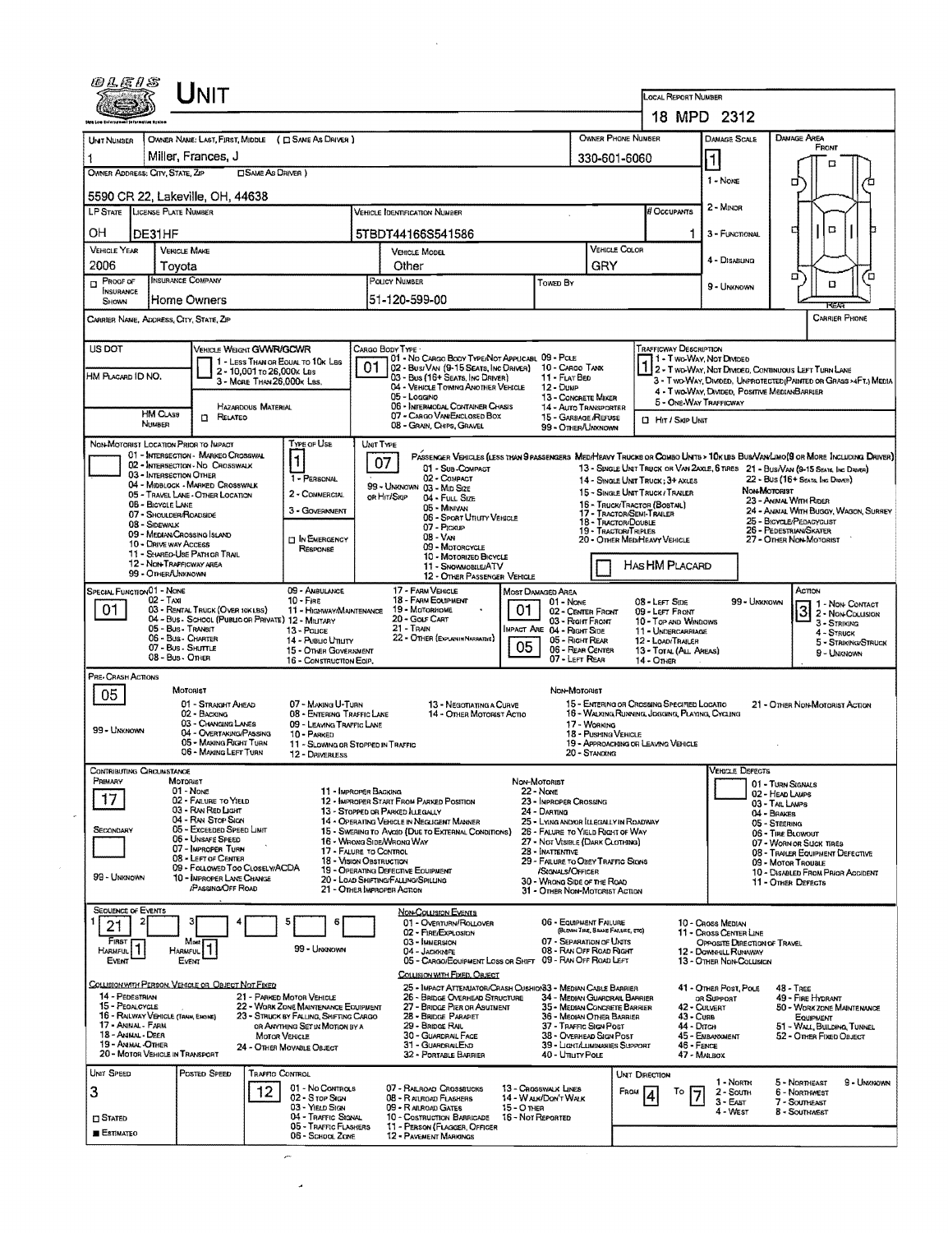| <i>©LEIS</i><br><b>NIT</b>                                                  |                                                                |                                                                                        |                                                                                |                                                                                                        |                                                                                                     |                                                                                   |                                                                         |                                                                      | LOCAL REPORT NUMBER                                                                                                 |                                                                                                                                                                                                                   |  |  |  |  |
|-----------------------------------------------------------------------------|----------------------------------------------------------------|----------------------------------------------------------------------------------------|--------------------------------------------------------------------------------|--------------------------------------------------------------------------------------------------------|-----------------------------------------------------------------------------------------------------|-----------------------------------------------------------------------------------|-------------------------------------------------------------------------|----------------------------------------------------------------------|---------------------------------------------------------------------------------------------------------------------|-------------------------------------------------------------------------------------------------------------------------------------------------------------------------------------------------------------------|--|--|--|--|
|                                                                             |                                                                |                                                                                        |                                                                                |                                                                                                        |                                                                                                     |                                                                                   |                                                                         |                                                                      | 18 MPD 2312                                                                                                         |                                                                                                                                                                                                                   |  |  |  |  |
| <b>UNT NUMBER</b>                                                           |                                                                | OWNER NAME: LAST, FIRST, MIDDLE ( C SAME AS DRIVER )                                   |                                                                                |                                                                                                        |                                                                                                     |                                                                                   | <b>OWNER PHONE NUMBER</b>                                               |                                                                      | Damage Scale                                                                                                        | DAMAGE AREA<br>FRONT                                                                                                                                                                                              |  |  |  |  |
| 1                                                                           |                                                                | Miller, Frances, J                                                                     |                                                                                | 330-601-6060                                                                                           |                                                                                                     |                                                                                   |                                                                         |                                                                      | $\vert$ 1                                                                                                           | п                                                                                                                                                                                                                 |  |  |  |  |
| OWNER ADDRESS: CITY, STATE, ZIP                                             |                                                                | <b>CISAME AS DRIVER )</b>                                                              |                                                                                |                                                                                                        |                                                                                                     |                                                                                   |                                                                         |                                                                      | 1 - None                                                                                                            | o                                                                                                                                                                                                                 |  |  |  |  |
|                                                                             |                                                                | 5590 CR 22, Lakeville, OH, 44638                                                       |                                                                                |                                                                                                        |                                                                                                     |                                                                                   |                                                                         |                                                                      | 2 - Minor                                                                                                           |                                                                                                                                                                                                                   |  |  |  |  |
| LP STATE LICENSE PLATE NUMBER                                               |                                                                |                                                                                        |                                                                                | VEHICLE IDENTIFICATION NUMBER                                                                          |                                                                                                     |                                                                                   |                                                                         | # Occupants                                                          |                                                                                                                     |                                                                                                                                                                                                                   |  |  |  |  |
| OН                                                                          | DE31HF                                                         |                                                                                        |                                                                                | 5TBDT44166S541586                                                                                      |                                                                                                     |                                                                                   |                                                                         | 11                                                                   | 3 - FUNCTIONAL                                                                                                      | O<br>₫                                                                                                                                                                                                            |  |  |  |  |
| <b>VEHICLE YEAR</b><br>2006                                                 | <b>VEHICLE MAKE</b><br>Toyota                                  |                                                                                        |                                                                                | <b>VEHICLE MODEL</b><br>Other                                                                          |                                                                                                     |                                                                                   | <b>VEHICLE COLOR</b><br>GRY                                             |                                                                      | 4 - DISABUNG                                                                                                        |                                                                                                                                                                                                                   |  |  |  |  |
| $P_{\text{ROOF of}}$                                                        | INSURANCE COMPANY                                              |                                                                                        |                                                                                | POLICY NUMBER<br><b>TOWED BY</b>                                                                       |                                                                                                     |                                                                                   |                                                                         |                                                                      | 9 - Unknown                                                                                                         | п<br>'n<br>o                                                                                                                                                                                                      |  |  |  |  |
| INSURANCE<br>SHOWN                                                          | Home Owners                                                    |                                                                                        |                                                                                | 51-120-599-00                                                                                          |                                                                                                     |                                                                                   |                                                                         |                                                                      |                                                                                                                     |                                                                                                                                                                                                                   |  |  |  |  |
| CARRIER NAME, ADDRESS, CITY, STATE, ZIP                                     |                                                                |                                                                                        |                                                                                |                                                                                                        |                                                                                                     |                                                                                   |                                                                         |                                                                      |                                                                                                                     | <b>CARRIER PHONE</b>                                                                                                                                                                                              |  |  |  |  |
| US DOT                                                                      |                                                                | VEHICLE WEIGHT GVWR/GCWR                                                               |                                                                                | CARGO BODY TYPE -                                                                                      | 01 - No CARGO BODY TYPE/NOT APPLICABL 09 - POLE                                                     |                                                                                   |                                                                         | Trafficway Description                                               |                                                                                                                     |                                                                                                                                                                                                                   |  |  |  |  |
| HM PLACARD ID NO.                                                           | 1 - LESS THAN OR EQUAL TO 10K LBS<br>2 - 10,001 to 26,000x Las |                                                                                        | 01                                                                             | 02 - Bus/VAN (9-15 SEATS, INC DRIVER) 10 - CARGO TANK<br>03 - Bus (16+ SEATS, INC DRIVER)              |                                                                                                     |                                                                                   | 1 1 - Two-Way, Not Divideo                                              |                                                                      | 1 2 - TWO-WAY, NOT DIVIDED, CONTINUOUS LEFT TURN LANE                                                               |                                                                                                                                                                                                                   |  |  |  |  |
|                                                                             |                                                                | 3 - MORE THAN 26.000K LBS.                                                             |                                                                                |                                                                                                        | 04 - VEHICLE TOWING ANOTHER VEHICLE                                                                 | 11 - FLAT BED<br>12 - Duse                                                        |                                                                         |                                                                      | 4 - Two-Way, Divided, Positive MedianBarrier                                                                        | 3 - T WO-WAY, DIVIDED, UNPROTECTED (PAINTED OR GRASS >4FT.) MEDIA                                                                                                                                                 |  |  |  |  |
|                                                                             | <b>HM CLASS</b>                                                | <b>HAZARDOUS MATERIAL</b>                                                              |                                                                                | 05 - Loggino<br>13 - CONCRETE MIXER<br>06 - INTERMODAL CONTAINER CHASIS<br>07 - CARGO VAN ENCLOSED BOX |                                                                                                     |                                                                                   | <b>14 - AUTO TRANSPORTER</b>                                            |                                                                      | 5 - ONE-WAY TRAFFICWAY                                                                                              |                                                                                                                                                                                                                   |  |  |  |  |
|                                                                             | NUMBER                                                         | <b>D</b> RELATED                                                                       |                                                                                | 08 - GRAIN, CHIPS, GRAVEL                                                                              |                                                                                                     | 15 - GARBAGE / REFUSE<br>99 - OTHER/UNKNOWN                                       |                                                                         | <b>D</b> Hr / Skip UNIT                                              |                                                                                                                     |                                                                                                                                                                                                                   |  |  |  |  |
| NON-MOTORIST LOCATION PRIOR TO IMPACT                                       |                                                                | 01 - INTERSECTION - MARKEO CROSSWAL                                                    | TYPE OF USE                                                                    | UNIT TYPE                                                                                              |                                                                                                     |                                                                                   |                                                                         |                                                                      |                                                                                                                     |                                                                                                                                                                                                                   |  |  |  |  |
|                                                                             | 03 - INTERSECTION OTHER                                        | 02 - INTERSECTION - NO CROSSWALK                                                       | 1                                                                              | 07                                                                                                     | 01 - Sub-COMPACT                                                                                    |                                                                                   |                                                                         |                                                                      |                                                                                                                     | PASSENGER VEHICLES (LESS THAN PRASSENGERS MEDA EAVY TRUCKS OR COMBO UNTB > 10K UBB BUS/VAN LIMO(9 OR MORE INCLUDING DRIVER)<br>13 - SINGLE UNIT TRUCK OR VAN 2AXLE, 6 TIRES 21 - BUS/VAN (9-15 SEATS, INC DRIVER) |  |  |  |  |
|                                                                             |                                                                | 04 - MIDBLOCK - MARKED CROSSWALK<br>05 - TRAVEL LANE - OTHER LOCATION                  | 1 - PERSONAL<br>2 - COMMERCIAL                                                 |                                                                                                        | 02 - COMPACT<br>99 - UNKNOWN 03 - MID SIZE                                                          |                                                                                   |                                                                         | 14 - SINGLE UNIT TRUCK: 3+ AXLES<br>15 - SINGLE UNIT TRUCK / TRAILER | 22 - BUS (16+ SEATS, ING DRIVER)<br>NON-MOTORIST<br>23 - ANIMAL WITH RIDER<br>24 - ANAMAL WITH BUGGY, WAGON, SURREY |                                                                                                                                                                                                                   |  |  |  |  |
|                                                                             | 06 - BICYCLE LANE                                              |                                                                                        | 3 - GOVERNMENT                                                                 | or Hit/Skip<br>04 - FULL SIZE<br>05 - Minivan<br>06 - Spoar Unury Vehicle<br>07 - Pickup               |                                                                                                     |                                                                                   | 16 - TRUCK/TRACTOR (BOBTAIL)                                            |                                                                      |                                                                                                                     |                                                                                                                                                                                                                   |  |  |  |  |
|                                                                             | 07 - SHOULDER/ROADSIDE<br>08 - SIDEWALK                        |                                                                                        |                                                                                |                                                                                                        |                                                                                                     |                                                                                   | 17 - TRACTOR/SEMI-TRALER<br>18 - Tractor/Double<br>19 - TRACTOR/TRIPLES |                                                                      | 25 - BICYCLE/PEDACYCUST<br>26 - Pedestrian/Skater                                                                   |                                                                                                                                                                                                                   |  |  |  |  |
|                                                                             | 09 - MEDIAN/CROSSING ISLAND<br>10 - DRIVE WAY ACCESS           |                                                                                        | <b>IT IN EMERGENCY</b><br>RESPONSE                                             | $08 - V_{AN}$                                                                                          | 09 - MOTORCYCLE                                                                                     |                                                                                   | 20 - OTHER MED/HEAVY VEHICLE                                            |                                                                      |                                                                                                                     | 27 - OTHER NON-MOTORIST                                                                                                                                                                                           |  |  |  |  |
|                                                                             | 12 - NON-TRAFFICWAY AREA                                       | 11 - SHARED-USE PATH OR TRAIL                                                          |                                                                                |                                                                                                        | 10 - MOTORIZED BICYCLE<br>11 - SNOWMOBILE/ATV                                                       |                                                                                   |                                                                         | HAS HM PLACARD                                                       |                                                                                                                     |                                                                                                                                                                                                                   |  |  |  |  |
|                                                                             | 99 - OTHER/UNKNOWN                                             |                                                                                        |                                                                                |                                                                                                        | 12 - OTHER PASSENGER VEHICLE                                                                        |                                                                                   |                                                                         |                                                                      |                                                                                                                     |                                                                                                                                                                                                                   |  |  |  |  |
| SPECIAL FUNCTION 01 - NONE                                                  | $02 - TAA$                                                     |                                                                                        | 09 - AMBULANCE<br>$10 -$ Fine                                                  | 17 - FARM VEHICLE<br>18 - FARM EQUIPMENT                                                               |                                                                                                     | MOST DAMAGED AREA<br>01 - None                                                    |                                                                         | 08 - LEFT SIDE                                                       | 99 - Unknown                                                                                                        | ACTION<br>1 1 - Non-Contact                                                                                                                                                                                       |  |  |  |  |
| 01.                                                                         |                                                                | 03 - RENTAL TRUCK (OVER 10KLBS)<br>04 - Bus - School (Public or Private) 12 - Military | 11 - HIGHWAY/MAINTENANCE                                                       | 19 - MOTORHOME<br>20 - Gour Carlt                                                                      | 01                                                                                                  | 03 - Right Front                                                                  | 02 - CENTER FRONT                                                       | 09 - LEFT FRONT<br>10 - Top and Windows                              |                                                                                                                     | 2 - Non-Collision<br>3 - STRIKING                                                                                                                                                                                 |  |  |  |  |
|                                                                             | 05 - Bus - Transit<br>06 - Bus - Charter                       |                                                                                        | 13 - POLICE<br>14 - Pusuc Unury                                                | 21 - TRAIN<br>22 - OTHER (EXPLANIN NARRATIVE)                                                          | 05                                                                                                  | MPACT ARE 04 - RIGHT SIDE<br>05 - RIGHT REAR                                      |                                                                         | 11 - UNDERCARRIAGE<br>12 - LOAD/TRAILER                              |                                                                                                                     | $4 -$ Struck<br>5 - STRIKING/STRUCK                                                                                                                                                                               |  |  |  |  |
|                                                                             | 07 - Bus - SHUTTLE<br>08 - Bus - OTHER                         |                                                                                        | 15 - OTHER GOVERNMENT<br>16 - CONSTRUCTION EOIP.                               |                                                                                                        |                                                                                                     | 06 - REAR CENTER<br>07 - LEFT REAR                                                |                                                                         | 13 - TOTAL (ALL AREAS)<br>$14 -$ Other                               |                                                                                                                     | 9 - UNKNOWN                                                                                                                                                                                                       |  |  |  |  |
| PRE-CRASH ACTIONS                                                           | MOTORIST                                                       |                                                                                        |                                                                                |                                                                                                        |                                                                                                     | Non-Motorust                                                                      |                                                                         |                                                                      |                                                                                                                     |                                                                                                                                                                                                                   |  |  |  |  |
| 05                                                                          |                                                                | 01 - STRAIGHT AHEAD                                                                    | 07 - MAKING U-TURN                                                             |                                                                                                        | 13 - NEGOTIATING A CURVE                                                                            |                                                                                   |                                                                         | 15 - ENTERING OR CROSSING SPECIFIED LOCATIO                          |                                                                                                                     | 21 - OTHER NON MOTORIST ACTION                                                                                                                                                                                    |  |  |  |  |
|                                                                             |                                                                | 02 - BACKING<br>03 - CHANGING LANES                                                    | 08 - ENTERING TRAFFIC LANE<br>09 - LEAVING TRAFFIC LANE                        |                                                                                                        | 14 - OTHER MOTORIST ACTIO<br>17 - WORKING                                                           |                                                                                   |                                                                         | 16 - WALKING, RUNNING, JOGGING, PLAYING, CYCLING                     |                                                                                                                     |                                                                                                                                                                                                                   |  |  |  |  |
| 99 - UNKNOWN                                                                |                                                                | 04 - OVERTAKING/PASSING<br>05 - MAKING RIGHT TURN                                      | 10 - PARKED<br>11 - SLOWING OR STOPPED IN TRAFFIC                              |                                                                                                        |                                                                                                     |                                                                                   | 18 - Pushing Venicle<br>19 - APPROACHING OR LEAVING VEHICLE             |                                                                      |                                                                                                                     |                                                                                                                                                                                                                   |  |  |  |  |
|                                                                             |                                                                | 06 - MAKING LEFT TURN                                                                  | <b>12 - DRIVERLESS</b>                                                         |                                                                                                        |                                                                                                     |                                                                                   | 20 - STANDING                                                           |                                                                      |                                                                                                                     |                                                                                                                                                                                                                   |  |  |  |  |
| CONTRIBUTING CIRCUMSTANCE<br>Primary                                        | MOTORIST                                                       |                                                                                        |                                                                                |                                                                                                        |                                                                                                     | NON-MOTORIST                                                                      |                                                                         |                                                                      | <b>VEHICLE DEFECTS</b>                                                                                              | 01 - TURN SIGNALS                                                                                                                                                                                                 |  |  |  |  |
| 17                                                                          | 01 - None                                                      | 02 - FAILURE TO YIELD                                                                  |                                                                                | 11 - IMPROPER BACKING<br>12 - IMPROPER START FROM PARKED POSITION                                      |                                                                                                     | <b>22 - NONE</b><br>23 - IMPROPER CROSSING                                        |                                                                         |                                                                      |                                                                                                                     | 02 - HEAD LAMPS<br>03 - TAIL LAMPS                                                                                                                                                                                |  |  |  |  |
|                                                                             |                                                                | 03 - RAN RED LIGHT<br>04 - RAN STOP SIGN                                               |                                                                                | 13 - STOPPED OR PARKED ILLEGALLY                                                                       | 24 - DARTING<br>14 - OPERATING VEHICLE IN NEGLIGENT MANNER<br>25 - LYING AND/OR LLEGALLY IN ROADWAY |                                                                                   |                                                                         |                                                                      |                                                                                                                     | 04 - BRAKES<br>05 - Steering                                                                                                                                                                                      |  |  |  |  |
| SECONDARY                                                                   |                                                                | 05 - Exceepen Speen Limit<br>06 - Unsafe Speed                                         |                                                                                | 15 - Swering to Avoid (Due to External Conditions)<br>16 - WRONG SIDE/WRONG WAY                        |                                                                                                     |                                                                                   | 26 - FALURE TO YIELD RIGHT OF WAY<br>27 - Not Visible (Dark Clothing)   |                                                                      | 06 - TIRE BLOWOUT                                                                                                   |                                                                                                                                                                                                                   |  |  |  |  |
|                                                                             |                                                                | 07 - Improper Turn<br>08 - LEFT OF CENTER                                              |                                                                                | 17 - FALURE TO CONTROL<br>18 - Vision Osstruction                                                      | 28 - INATTENTIVE<br>29 - FAILURE TO OBEY TRAFFIC SIGNS                                              | 07 - WORN OR SUCK TIRES<br>08 - TRAILER EQUIPMENT DEFECTIVE<br>09 - MOTOR TROUBLE |                                                                         |                                                                      |                                                                                                                     |                                                                                                                                                                                                                   |  |  |  |  |
| 09 - FOLLOWED TOO CLOSELY/ACDA<br>99 - UNKNOWN<br>10 - IMPROPER LANE CHANGE |                                                                |                                                                                        |                                                                                | 19 - OPERATING DEFECTIVE EQUIPMENT<br>20 - LOAD SHIFTING/FALLING/SPILLING                              | /SIGNALS/OFFICER                                                                                    |                                                                                   |                                                                         | 10 - DISABLED FROM PRIOR ACCIDENT                                    |                                                                                                                     |                                                                                                                                                                                                                   |  |  |  |  |
|                                                                             |                                                                | <b>PASSING OFF ROAD</b>                                                                |                                                                                | 21 - OTHER IMPROPER ACTION                                                                             |                                                                                                     | 30 - WRONG SIDE OF THE ROAD                                                       | 31 - OTHER NON-MOTORIST ACTION                                          |                                                                      |                                                                                                                     | 11 - OTHER DEFECTS                                                                                                                                                                                                |  |  |  |  |
|                                                                             |                                                                |                                                                                        |                                                                                |                                                                                                        |                                                                                                     |                                                                                   |                                                                         |                                                                      |                                                                                                                     |                                                                                                                                                                                                                   |  |  |  |  |
| <b>SEQUENCE OF EVENTS</b>                                                   |                                                                |                                                                                        | 6                                                                              | <b>NON-COLLISION EVENTS</b>                                                                            | 01 - Overturn/Rollover                                                                              | 06 - EQUIPMENT FAILURE                                                            |                                                                         |                                                                      | 10 - Cross Median                                                                                                   |                                                                                                                                                                                                                   |  |  |  |  |
| 21<br>FIRST                                                                 |                                                                | Most                                                                                   |                                                                                | 02 - FIRE/EXPLOSION<br>03 - IMMERSION                                                                  |                                                                                                     |                                                                                   | (BLOWN TIRE, BRAKE FALURE, ETC)<br>07 - SEPARATION OF UNITS             |                                                                      | 11 - Cross CENTER LINE<br>OPPOSITE DIRECTION OF TRAVEL                                                              |                                                                                                                                                                                                                   |  |  |  |  |
| HARMFUL <sup>1</sup><br>Event                                               | Harmful<br>EVENT                                               |                                                                                        | 99 - Unknown                                                                   | 04 - JACKNAFE                                                                                          | 05 - CARGO/EQUIPMENT LOSS OR SHIFT 09 - RAN OFF ROAD LEFT                                           |                                                                                   | 08 - RAN OFF ROAD RIGHT                                                 |                                                                      | 12 - DOWNHILL RUNAWAY<br>13 - OTHER NON-COLUSION                                                                    |                                                                                                                                                                                                                   |  |  |  |  |
|                                                                             |                                                                |                                                                                        |                                                                                |                                                                                                        | COLLISION WITH FIXED, OBJECT                                                                        |                                                                                   |                                                                         |                                                                      |                                                                                                                     |                                                                                                                                                                                                                   |  |  |  |  |
| 14 - PEDESTRIAN                                                             |                                                                | COLLISION WITH PERSON, VENICLE OR OBJECT NOT FIXED                                     | 21 - PARKED MOTOR VEHICLE                                                      |                                                                                                        | 25 - IMPACT ATTENUATOR/CRASH CUSHION33 - MEDIAN CABLE BARRIER<br>26 - BRIDGE OVERHEAD STRUCTURE     |                                                                                   | 34 - MEDIAN GUARDRAIL BARRIER                                           |                                                                      | 41 - OTHER POST, POLE<br>OR SUPPORT                                                                                 | $48 - TREF$<br>49 - FIRE HYDRANT                                                                                                                                                                                  |  |  |  |  |
| 15 - PEOALOYCLE<br>16 - RALWAY VEHICLE (TRAIN, ENGINE)                      |                                                                |                                                                                        | 22 - WORK ZONE MAINTENANCE EQUIPMENT<br>23 - STRUCK BY FALLING, SHIFTING CARGO | 28 - Bridge Parapet                                                                                    | 27 - BRIDGE PIER OR ASUTNENT                                                                        |                                                                                   | 35 - MEDIAN CONCRETE BARRIER<br>36 - MEOIAN OTHER BARRIER               | 43 - Cuna                                                            | 42 - CULVERT                                                                                                        | EQUIPMENT                                                                                                                                                                                                         |  |  |  |  |
| 17 - Animal - Farm<br>18 - ANIMAL - DEER                                    |                                                                |                                                                                        | OR ANYTHING SET IN MOTION BY A<br><b>MOTOR VENICLE</b>                         | 29 - BRIDGE RAIL<br>30 - GUARDRAIL FACE                                                                |                                                                                                     |                                                                                   | 37 - TRAFFIC SIGN POST<br>38 - Overhead Sign Post                       | 44 - Опсн                                                            | 45 - EMBANXMENT                                                                                                     |                                                                                                                                                                                                                   |  |  |  |  |
| 19 - ANIMAL OTHER<br>20 - MOTOR VEHICLE IN TRANSPORT                        |                                                                |                                                                                        | 24 - OTHER MOVABLE OBJECT                                                      | 31 - GUARDRALEND<br>32 - PORTABLE BARRIER                                                              |                                                                                                     | 40 - Unuty Pole                                                                   | 39 - LIGHT/LUMINARIES SUPPORT                                           | 46 - FENGE                                                           | 47 - Malbox                                                                                                         |                                                                                                                                                                                                                   |  |  |  |  |
| UNIT SPEED                                                                  |                                                                | POSTED SPEED<br>Traffic Control                                                        |                                                                                |                                                                                                        |                                                                                                     |                                                                                   |                                                                         | Unit Direction                                                       |                                                                                                                     |                                                                                                                                                                                                                   |  |  |  |  |
| 3                                                                           |                                                                | 12                                                                                     | 01 - No Contra s                                                               | 07 - RALROAD CROSSBUCKS                                                                                |                                                                                                     | <b>13 - CROSSWALK LINES</b>                                                       | Fnow                                                                    |                                                                      | 1 - North<br>2 - South                                                                                              | 50 - WORK ZONE MAINTENANCE<br>51 - WALL, BUILDING, TUNNEL<br>52 - OTHER FIXED OBJECT<br>9 - UNKNOWN<br>5 - Northeast<br>6 - Northwest                                                                             |  |  |  |  |
|                                                                             |                                                                |                                                                                        | 02 - Stop Sign<br>03 - YIELD SIGN                                              | 08 - RAIROAD FLASHERS<br>09 - RAILROAD GATES                                                           | 15 - О тнея                                                                                         | 14 - WALK/DON'T WALK                                                              |                                                                         | $\frac{1}{2}$                                                        | $3 - EAST$<br>4 - West                                                                                              | 7 - SOUTHEAST<br>8 - SOUTHWEST                                                                                                                                                                                    |  |  |  |  |
| <b>CI STATED</b><br><b>E</b> stimateo                                       |                                                                |                                                                                        | 04 - TRAFFIC SIGNAL<br>05 - TRAFFIC FLASHERS<br>06 - SCHOOL ZONE               | 10 - COSTRUCTION BARRICADE<br>11 - PERSON (FLAGGER, OFFICER<br>12 - PAVEMENT MARKINGS                  |                                                                                                     | 16 - Not Reported                                                                 |                                                                         |                                                                      |                                                                                                                     |                                                                                                                                                                                                                   |  |  |  |  |

 $\mathcal{A}$ 

 $\mathcal{L}^{\text{max}}_{\text{max}}$  , where  $\mathcal{L}^{\text{max}}_{\text{max}}$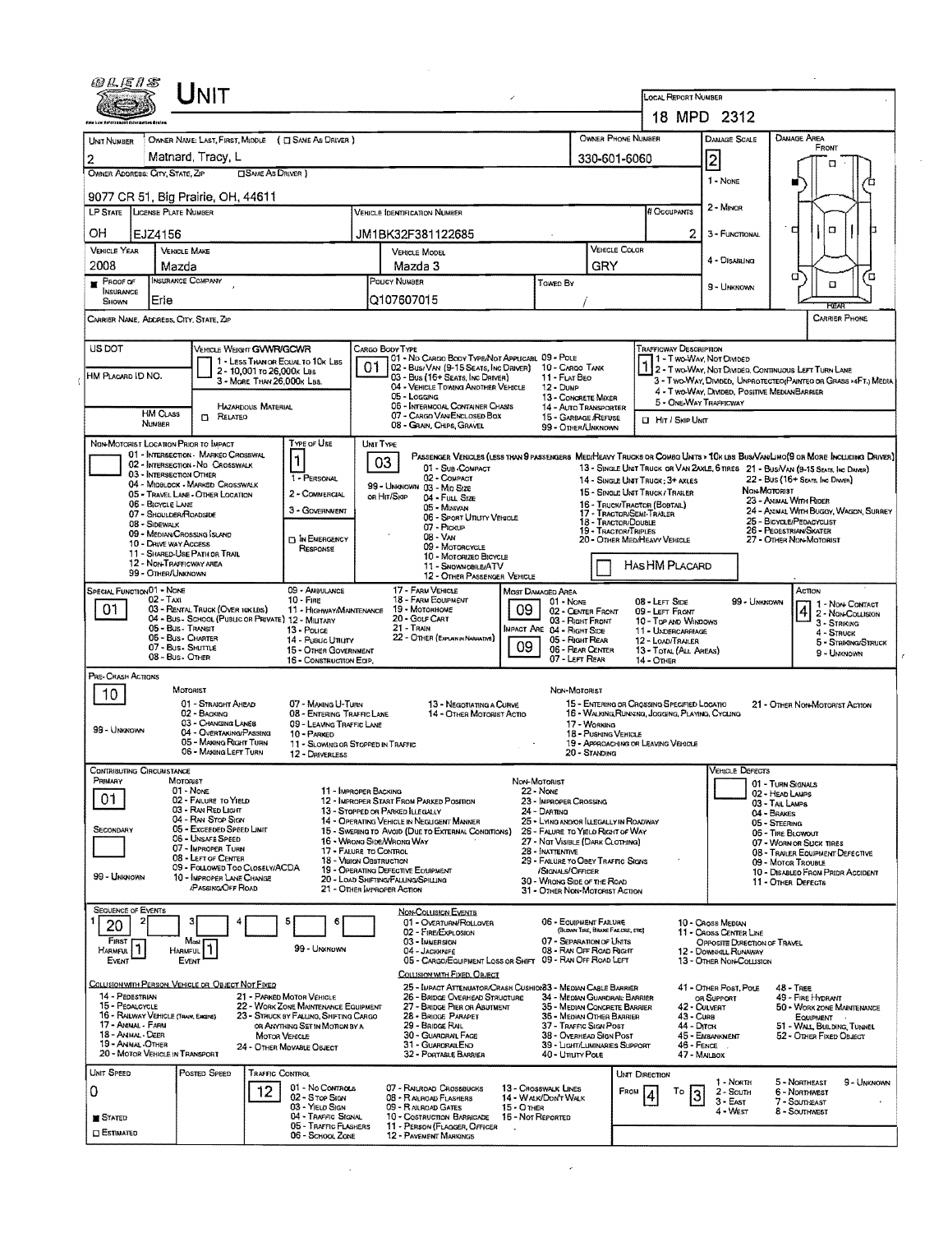|                                                                          | UNIT                                                                         |                                |                                                                                |                                                                   |                                                                                                                               | $\overline{\phantom{a}}$           |                                                                       |                                                            | <b>LOCAL REPORT NUMBER</b>                                                                      |                               |                                                                                    |                                                   |                                                                                   |  |
|--------------------------------------------------------------------------|------------------------------------------------------------------------------|--------------------------------|--------------------------------------------------------------------------------|-------------------------------------------------------------------|-------------------------------------------------------------------------------------------------------------------------------|------------------------------------|-----------------------------------------------------------------------|------------------------------------------------------------|-------------------------------------------------------------------------------------------------|-------------------------------|------------------------------------------------------------------------------------|---------------------------------------------------|-----------------------------------------------------------------------------------|--|
|                                                                          |                                                                              |                                |                                                                                |                                                                   |                                                                                                                               |                                    |                                                                       |                                                            |                                                                                                 |                               | 18 MPD 2312                                                                        |                                                   |                                                                                   |  |
| UNIT NUMBER                                                              | OWNER NAME: LAST, FIRST, MIDDLE ( C SAME AS DRIVER )                         |                                |                                                                                |                                                                   |                                                                                                                               |                                    |                                                                       | OWNER PHONE NUMBER                                         |                                                                                                 |                               | DAMAGE SCALE                                                                       | DAMAGE AREA                                       |                                                                                   |  |
| 2                                                                        | Matnard, Tracy, L                                                            |                                |                                                                                |                                                                   |                                                                                                                               |                                    |                                                                       | 330-601-6060                                               |                                                                                                 | $\overline{2}$                |                                                                                    |                                                   | FRONT                                                                             |  |
| OWNER ADDRESS: CITY, STATE, ZIP                                          |                                                                              | <b>CISAME AS DRIVER</b> )      |                                                                                |                                                                   |                                                                                                                               |                                    |                                                                       |                                                            |                                                                                                 |                               |                                                                                    |                                                   | п                                                                                 |  |
|                                                                          |                                                                              |                                |                                                                                |                                                                   |                                                                                                                               |                                    |                                                                       |                                                            |                                                                                                 |                               | 1 - NONE                                                                           |                                                   |                                                                                   |  |
|                                                                          | 9077 CR 51, Big Prairie, OH, 44611<br><b>LP STATE LICENSE PLATE NUMBER</b>   |                                |                                                                                | <b>VEHICLE IDENTIFICATION NUMBER</b>                              |                                                                                                                               |                                    |                                                                       |                                                            | <b># OCCUPANTS</b>                                                                              |                               | 2 - MINOR                                                                          |                                                   |                                                                                   |  |
|                                                                          |                                                                              |                                |                                                                                |                                                                   |                                                                                                                               |                                    |                                                                       |                                                            |                                                                                                 |                               |                                                                                    | d                                                 | $\Box$                                                                            |  |
| OН                                                                       | EJZ4156                                                                      |                                |                                                                                | JM1BK32F381122685                                                 |                                                                                                                               |                                    |                                                                       | 2<br>VEHICLE COLOR                                         |                                                                                                 |                               | 3 - FUNCTIONAL                                                                     |                                                   |                                                                                   |  |
| <b>VEHICLE YEAR</b><br>2008                                              | <b>VEHICLE MAKE</b><br>Mazda                                                 |                                |                                                                                | <b>VEHICLE MODEL</b><br>Mazda 3                                   |                                                                                                                               |                                    |                                                                       | GRY                                                        |                                                                                                 |                               | 4 - Disabung                                                                       |                                                   |                                                                                   |  |
| $P_{ROOF}$ or                                                            | <b>INSURANCE COMPANY</b>                                                     |                                |                                                                                | POUCY NUMBER                                                      |                                                                                                                               |                                    | <b>TOWED BY</b>                                                       |                                                            |                                                                                                 |                               |                                                                                    | σ                                                 | ם<br>Ω                                                                            |  |
| <b>NSURANCE</b><br>SHOWN                                                 | Erie                                                                         |                                |                                                                                | Q107607015                                                        |                                                                                                                               |                                    |                                                                       |                                                            |                                                                                                 |                               | 9 - UNKNOWN                                                                        |                                                   |                                                                                   |  |
|                                                                          | CARRIER NAME, ADDRESS, CITY, STATE, ZIP                                      |                                |                                                                                |                                                                   |                                                                                                                               |                                    |                                                                       |                                                            |                                                                                                 |                               |                                                                                    |                                                   | <b>EGAS</b><br><b>CARRIER PHONE</b>                                               |  |
|                                                                          |                                                                              |                                |                                                                                |                                                                   |                                                                                                                               |                                    |                                                                       |                                                            |                                                                                                 |                               |                                                                                    |                                                   |                                                                                   |  |
| US DOT                                                                   |                                                                              | VEHICLE WEIGHT GVWR/GCWR       |                                                                                | CARGO BODY TYPE                                                   |                                                                                                                               |                                    |                                                                       |                                                            | <b>TRAFFICWAY DESCRIPTION</b>                                                                   |                               |                                                                                    |                                                   |                                                                                   |  |
|                                                                          |                                                                              | 2 - 10,001 to 26,000k Las      | 1 - LESS THAN OR EQUAL TO 10K LBS                                              | 01                                                                | 01 - No CARGO BODY TYPE/NOT APPLICABL 09 - POLE<br>02 - Bus/VAN (9-15 SEATS, INC DRIVER) 10 - CARGO TANK                      |                                    |                                                                       |                                                            |                                                                                                 |                               | 1 - Two-Way, Not Divided<br>7 2 - T WO-WAY, NOT DIVIDED, CONTINUOUS LEFT TURN LANE |                                                   |                                                                                   |  |
| HM Placard ID NO.                                                        |                                                                              | 3 - MORE THAN 26,000K LBS.     |                                                                                |                                                                   | 03 - Bus (16+ Seats, Inc Driver)<br>04 - VEHICLE TOWING ANOTHER VEHICLE                                                       |                                    | 11 - FLAT BEO<br>12 - Duwe                                            |                                                            |                                                                                                 |                               |                                                                                    |                                                   | 3 - TWO-WAY, DIVIDED, UNPROTECTEO(PAINTEO OR GRASS >4FT.) MEDIA                   |  |
|                                                                          |                                                                              | <b>HAZARDOUS MATERIAL</b>      |                                                                                |                                                                   | 05 - Logging<br>05 - INTERMOOAL CONTAINER CHASIS                                                                              |                                    | 13 - CONCRETE MIXER                                                   |                                                            |                                                                                                 | 5 - ONE-WAY TRAFFICWAY        | 4 - Two-Way, DIMDED, POSITIVE MEDIANBARRIER                                        |                                                   |                                                                                   |  |
|                                                                          | <b>HM CLASS</b><br><b>CI RELATED</b><br>NUMBER                               |                                |                                                                                |                                                                   | 07 - CARGO VAN ENCLOSED BOX                                                                                                   |                                    | 14 - Auto Transporter<br>15 - GARBAGE /REFUSE                         |                                                            |                                                                                                 | El Hir/Skip Unit              |                                                                                    |                                                   |                                                                                   |  |
|                                                                          |                                                                              |                                |                                                                                |                                                                   | 08 - GRAIN, CHIPS, GRAVEL                                                                                                     |                                    | 99 - OTHER/UNKNOWN                                                    |                                                            |                                                                                                 |                               |                                                                                    |                                                   |                                                                                   |  |
|                                                                          | NON-MOTORIST LOCATION PRIOR TO IMPACT<br>01 - INTERSECTION - MARKEO CROSSWAL |                                | TYPE OF USE                                                                    | <b>UNT TYPE</b>                                                   | PASSENGER VERICLES (LESS THAN 9 PASSENGERS MEDIMEAVY TRUCKS OR COMBO UNITS > 10K LBS BUS/VAN/LIMO(9 OR MORE INCLUDING DRIVER) |                                    |                                                                       |                                                            |                                                                                                 |                               |                                                                                    |                                                   |                                                                                   |  |
|                                                                          | 02 - INTERSECTION - NO CROSSWALK<br>03 - INTERSECTION OTHER                  |                                | 1                                                                              | 03                                                                | 01 - Sub-COMPACT                                                                                                              |                                    |                                                                       |                                                            |                                                                                                 |                               |                                                                                    |                                                   | 13 - SINGLE UNIT TRUCK OR VAN ZAXLE, 6 TIRES 21 - BUS/VAN (9-15 SEATS, INC DANER) |  |
|                                                                          | 04 - MIDBLOCK - MARKED CROSSWALK<br>05 - TRAVEL LANE - OTHER LOCATION        |                                | 1 - PERSONAL<br>2 - COMMERCIAL                                                 |                                                                   | 02 - COMPACT<br>99 - UNKNOWN 03 - MID SIZE                                                                                    |                                    |                                                                       |                                                            | 14 - SINGLE UNIT TRUCK; 3+ AXLES<br>15 - SINGLE LNJT TRUCK / TRAILER                            |                               |                                                                                    | NON-MOTORIST                                      | 22 - Bus (16+ Seats, Ing Danga)                                                   |  |
|                                                                          | 06 - BIGYCLE LANE                                                            |                                | 3 - GOVERNMENT                                                                 | ов Ніт/Sкір                                                       | 04 - FutL Size<br>05 - Minivan                                                                                                |                                    |                                                                       |                                                            | 16 - Truck/Tractor (Bobtail)<br>17 - Tractor/Semi-Trailer                                       |                               |                                                                                    | 23 - ANIMAL WITH RIDER                            | 24 - ANIMAL WITH BUGGY, WAGON, SURREY                                             |  |
|                                                                          | 07 - SHOULDER/ROADSIDE<br>08 - SIDEWALK                                      |                                |                                                                                |                                                                   | 06 - SPORT UTIUTY VEHICLE<br>07 - PICKUP                                                                                      |                                    |                                                                       | 18 - TRACTOR/DOUBLE                                        |                                                                                                 |                               |                                                                                    | 25 - BICYCLE/PEDACYCLIST                          |                                                                                   |  |
|                                                                          | 09 - MEDIAN CROSSING ISLAND<br>10 - DRIVE WAY ACCESS                         |                                | <b>IT IN EMERGENCY</b>                                                         |                                                                   | 08 - VAN<br>09 - MOTORCYCLE                                                                                                   |                                    |                                                                       | 19 - TRACTOR/TRIPLES                                       | 20 - OTHER MED/HEAVY VEHICLE                                                                    |                               |                                                                                    | 26 - Peoestrian/Skater<br>27 - OTHER NON-MOTORIST |                                                                                   |  |
|                                                                          | 11 - SHARED-USE PATH OR TRAIL<br>12 - NON-TRAFFICWAY AREA                    |                                | RESPONSE                                                                       |                                                                   | 10 - Motorizeo Bioycle                                                                                                        |                                    |                                                                       |                                                            |                                                                                                 |                               |                                                                                    |                                                   |                                                                                   |  |
|                                                                          | 99 - OTHER/UNKNOWN                                                           |                                |                                                                                |                                                                   | 11 - SNOWMOBILE/ATV<br>12 - OTHER PASSENGER VEHICLE                                                                           |                                    |                                                                       |                                                            | Has HM Placard                                                                                  |                               |                                                                                    |                                                   |                                                                                   |  |
| SPECIAL FUNCTION 01 - NONE                                               | 02 - Тахі                                                                    |                                | 09 - AMBULANCE<br>$10 -$ Fire                                                  |                                                                   | 17 - FARM VEHICLE<br>18 - FARM EQUIPMENT                                                                                      |                                    | MOST DAMAGED AREA                                                     |                                                            |                                                                                                 |                               |                                                                                    |                                                   | ACTION                                                                            |  |
| 01                                                                       | 03 - RENTAL TRUCK (OVER 10KLBS)                                              |                                | 11 - HIGHWAY/MAINTENANCE                                                       |                                                                   | 19 - MOTORHONE                                                                                                                | 09.                                | $01 - None$<br>02 - CENTER FRONT                                      |                                                            | 08 - LEFT SIDE<br>09 - LEFT FRONT                                                               |                               | 99 - UNKNOWN                                                                       |                                                   | 1 - Non Contact<br>$\frac{4}{3}$ - Non-Coursion                                   |  |
|                                                                          | 04 - Bus - School (Public or Private) 12 - Military<br>05 - Bus - Transit    |                                | 13 - Pouce                                                                     |                                                                   | 20 - Golf Cart                                                                                                                |                                    | 03 - Right Front                                                      |                                                            |                                                                                                 |                               |                                                                                    |                                                   |                                                                                   |  |
|                                                                          |                                                                              |                                |                                                                                | 21 - Train                                                        |                                                                                                                               |                                    | INPACT ARE 04 - RIGHT SIDE                                            |                                                            | 10 - Top and Windows<br>11 - UNDERCARRIAGE                                                      |                               |                                                                                    |                                                   |                                                                                   |  |
|                                                                          | 05 - Bus - Charter<br>07 - Bus - SHUTTLE                                     |                                | 14 - Pueuc Unury                                                               |                                                                   | 22 - OTHER (EXPLAIN IN NARRATIVE)                                                                                             |                                    | 05 - RIGHT REAR                                                       |                                                            | 12 - LOAD/TRAILER                                                                               |                               |                                                                                    |                                                   | $4 -$ Struck<br>5 - STRIKING/STRUCK                                               |  |
|                                                                          | 08 - Bus - OTHER                                                             |                                | 15 - OTHER GOVERNMENT<br>16 - CONSTRUCTION EQP.                                |                                                                   |                                                                                                                               | 09                                 | 06 - REAR CENTER<br>07 - LEFT REAR                                    |                                                            | 13 - TOTAL (ALL AREAS)<br>14 - Отнев                                                            |                               |                                                                                    |                                                   | 9 - Unknown                                                                       |  |
|                                                                          |                                                                              |                                |                                                                                |                                                                   |                                                                                                                               |                                    |                                                                       |                                                            |                                                                                                 |                               |                                                                                    |                                                   |                                                                                   |  |
| 10                                                                       | MOTORIST                                                                     |                                |                                                                                |                                                                   |                                                                                                                               |                                    | NON-MOTORIST                                                          |                                                            |                                                                                                 |                               |                                                                                    |                                                   |                                                                                   |  |
|                                                                          | 01 - STRAIGHT AHEAD<br>02 - BACKING                                          |                                | 07 - MAKING U-TURN<br>08 - ENTERING TRAFFIC LANE                               |                                                                   | 13 - NEGOTIATING A CURVE<br>14 - OTHER MOTORIST ACTIO                                                                         |                                    |                                                                       |                                                            | 15 - ENTERING OR CROSSING SPECIFIED LOCATIO<br>16 - WALKING, RUNNING, JOGGING, PLAYING, CYCLING |                               |                                                                                    |                                                   | 21 - OTHER NON-MOTORIST ACTION                                                    |  |
| 99 - Unixinown                                                           | 03 - CHANGING LANES<br>04 - OVERTAKING/PASSING                               |                                | 09 - LEAVING TRAFFIC LANE<br>10 - PARKED                                       |                                                                   |                                                                                                                               |                                    |                                                                       | 17 - Working<br>18 - Pushing Vehicle                       |                                                                                                 |                               |                                                                                    |                                                   |                                                                                   |  |
|                                                                          | 05 - MAKING RIGHT TURN<br>06 - MAXING LEFT TURN                              |                                | 11 - SLOWING OR STOPPED IN TRAFFIC<br>12 - DRIVERLESS                          |                                                                   |                                                                                                                               |                                    |                                                                       | 20 - Standing                                              | 19 - APPROACHING OR LEAVING VEHICLE                                                             |                               |                                                                                    |                                                   |                                                                                   |  |
|                                                                          |                                                                              |                                |                                                                                |                                                                   |                                                                                                                               |                                    |                                                                       |                                                            |                                                                                                 |                               | <b>VEHICLE DEFECTS</b>                                                             |                                                   |                                                                                   |  |
| PRIMARY                                                                  | MOTORIST<br>01 - None                                                        |                                |                                                                                | 11 - IMPROPER BACKING                                             |                                                                                                                               |                                    | Non-Motorist<br>22 - NONE                                             |                                                            |                                                                                                 |                               |                                                                                    | 01 - TURN SIGNALS                                 |                                                                                   |  |
| 01                                                                       | 02 - FALURE TO YIELD                                                         |                                |                                                                                |                                                                   | 12 - IMPROPER START FROM PARKED POSITION                                                                                      |                                    | 23 - IMPROPER CROSSING                                                |                                                            |                                                                                                 |                               |                                                                                    | 02 - HEAD LAMPS<br>03 - TAIL LAMPS                |                                                                                   |  |
|                                                                          | 03 - RAN RED LIGHT<br>04 - Ran Stop Sign                                     |                                |                                                                                | 13 - STOPPED OR PARKED ILLEGALLY                                  | 14 - OPERATING VEHICLE IN NEGLIGENT MANNER                                                                                    |                                    | 24 - DARTING<br>25 - LYING AND/OR LLEGALLY IN ROADWAY                 |                                                            |                                                                                                 |                               |                                                                                    | 04 - BRAKES<br>05 - STEERING                      |                                                                                   |  |
| SECONDARY                                                                | 05 - Exceeded Speed Limit<br>06 - UNSAFE SPEED                               |                                |                                                                                | 16 - WRONG SIDE/WRONG WAY                                         | 15 - Swering to Avoid (Due to External Conditions)                                                                            |                                    | 26 - FALURE TO YIELD RIGHT OF WAY<br>27 - NGT VISIBLE (DARK CLOTHING) |                                                            |                                                                                                 |                               |                                                                                    | 05 - TIRE BLOWOUT<br>07 - WORN OR SLICK TIRES     |                                                                                   |  |
|                                                                          | 07 - IMPROPER TURN<br>08 - LEFT OF CENTER                                    |                                |                                                                                | 17 - FALURE TO CONTROL<br>18 - Vision OBSTRUCTION                 |                                                                                                                               |                                    | 28 - INATTENTIVE<br>29 - FAILURE TO OBEY TRAFFIC SIGNS                |                                                            |                                                                                                 |                               |                                                                                    |                                                   | 08 - TRAILER EQUIPMENT DEFECTIVE                                                  |  |
| 99 - UNKNOWN                                                             | 10 - IMPROPER LANE CHANGE                                                    | 09 - Followed Too Closely/ACDA |                                                                                | 19 - OPERATING DEFECTIVE EQUIPMENT                                |                                                                                                                               |                                    | /SIGNALS/OFFICER                                                      |                                                            |                                                                                                 |                               |                                                                                    | 09 - MOTOR TROUBLE                                | 10 - DISABLEO FROM PRIDR ACCIDENT                                                 |  |
|                                                                          | <b>/PASSING/OFF ROAD</b>                                                     |                                |                                                                                | 20 - LOAD SHIFTING/FALLING/SPILLING<br>21 - OTHER IMPROPER ACTION |                                                                                                                               |                                    | 30 - WRONG SIDE OF THE ROAD<br>31 - OTHER NON-MOTORIST ACTION         |                                                            |                                                                                                 |                               |                                                                                    | 11 - OTHER DEFECTS                                |                                                                                   |  |
| <b>SEQUENCE OF EVENTS</b>                                                |                                                                              |                                |                                                                                |                                                                   | NON-COLLISION EVENTS                                                                                                          |                                    |                                                                       |                                                            |                                                                                                 |                               |                                                                                    |                                                   |                                                                                   |  |
| 20                                                                       |                                                                              |                                | 6                                                                              |                                                                   | 01 - OVERTURN/ROLLOVER                                                                                                        |                                    |                                                                       | 06 - EQUIPMENT FAILURE<br>(BLOWN TIRE, BRAKE FAILURE, ETC) |                                                                                                 |                               | 10 - Cross Median                                                                  |                                                   |                                                                                   |  |
| FIRST                                                                    | Most                                                                         |                                | 99 - UNKNOWN                                                                   |                                                                   | 02 - FIRE/EXPLOSION<br>03 - IMMERSION                                                                                         |                                    |                                                                       | 07 - SEPARATION OF UNITS                                   |                                                                                                 |                               | 11 - CROSS CENTER LINE<br>OPPOSITE DIRECTION OF TRAVEL                             |                                                   |                                                                                   |  |
| <b>HARMFUL</b><br>EVENT                                                  | HARMFUL<br>EVENT                                                             |                                |                                                                                |                                                                   | 04 - JACKNIFE<br>05 - CARGO/EQUIPMENT LOSS OR SHIFT 09 - RAN OFF ROAD LEFT                                                    |                                    |                                                                       | 08 - RAN OFF ROAD RIGHT                                    |                                                                                                 |                               | 12 - DOWN GIL RUNAWAY<br>13 - OTHER NON-COLLISION                                  |                                                   |                                                                                   |  |
|                                                                          |                                                                              |                                |                                                                                |                                                                   | COLLISION WITH FIXED, OBJECT                                                                                                  |                                    |                                                                       |                                                            |                                                                                                 |                               |                                                                                    |                                                   |                                                                                   |  |
| 14 - PEDESTRIAN                                                          | COLLISION WITH PERSON, VEHICLE OR OBJECT NOT FIXED                           |                                | 21 - PARKED MOTOR VEHICLE                                                      |                                                                   | 25 - IMPACT ATTENUATOR/CRASH CUSHIOX33 - MEDIAN CABLE BARRIER<br>26 - BRIDGE OVERHEAD STRUCTURE                               |                                    |                                                                       | 34 - MEDIAN GUARDRAIL BARRIER                              |                                                                                                 |                               | 41 - OTHER POST, POLE<br>OR SUPPORT                                                | $48 -$ TREE                                       | 49 - FIRE HYDRANT                                                                 |  |
| PRE-CRASH ACTIONS<br><b>CONTRIBUTING CIRCUMSTANCE</b><br>15 - PEOALCYCLE | 16 - RAILWAY VEHICLE (TRAIN, EMOINE)                                         |                                | 22 - WORK ZONE MAINTENANCE EQUIPMENT<br>23 - STRUCK BY FALLING, SHIFTING CARGO |                                                                   | 27 - BRIDGE PIER OR ABUTMENT<br>28 - BRIDGE PARAPET                                                                           |                                    |                                                                       | 35 - MEDIAN CONCRETE BARRIER<br>36 - MEDIAN OTHER BARRIER  |                                                                                                 | 42 - Culvert<br>43 - Cuna     |                                                                                    |                                                   | 50 - WORK ZONE MAINTENANCE<br>EQUIPMENT                                           |  |
| 17 - Annal - Farni<br>18 - Annal - Deer                                  |                                                                              |                                | OR ANYTHING SET IN MOTION BY A                                                 |                                                                   | 29 - BRIDGE RAIL                                                                                                              |                                    | 37 - TRAFFIC SIGN POST                                                |                                                            |                                                                                                 | 44 - Олгон                    |                                                                                    |                                                   | 51 - WALL BUILDING, TUNNEL                                                        |  |
| 19 - ANNAL-OTHER                                                         |                                                                              | MOTOR VEHICLE                  | 24 - OTHER MOVABLE OSJECT                                                      |                                                                   | 30 - GUARDRAIL FAGE<br>31 - GUARDRAILEND                                                                                      |                                    |                                                                       | 38 - Overhead Sign Post<br>39 - LIGHT/LUMINARIES SUPPORT   |                                                                                                 | 45 - EMBANKMENT<br>46 - FENCE |                                                                                    |                                                   | 52 - OTHER FIXED OBJECT                                                           |  |
|                                                                          | 20 - MOTOR VEHICLE IN TRANSPORT                                              |                                |                                                                                |                                                                   | 32 - PORTABLE BARRIER                                                                                                         |                                    | 40 - UTIUTY POLE                                                      |                                                            |                                                                                                 | 47 - Машох                    |                                                                                    |                                                   |                                                                                   |  |
| UNIT SPEED                                                               | POSTED SPEED                                                                 | Traffic Control                |                                                                                |                                                                   |                                                                                                                               |                                    |                                                                       |                                                            | UNIT DIRECTION                                                                                  |                               | 1 - North                                                                          | 5 - NORTHEAST                                     | 9 - Unknown                                                                       |  |
| 0                                                                        |                                                                              | 12                             | 01 - No CONTROLS<br>02 - S TOP SIGN                                            |                                                                   | 07 - RAILROAD CROSSBUCKS<br>08 - RALROAD FLASHERS                                                                             |                                    | 13 - Crosswalk Lines<br>14 - WALK/DON'T WALK                          |                                                            | FROM<br>То                                                                                      | 3                             | 2 - South<br>$3 -$ EAST                                                            | 6 - Northwest<br>7 - SOUTHEAST                    |                                                                                   |  |
| <b>STATED</b>                                                            |                                                                              |                                | 03 - YIELD SIGN<br>04 - TRAFFIC SIGNAL<br>05 - TRAFFIC FLASHERS                |                                                                   | 09 - RALROAD GATES<br>10 - Costruction Barricade<br>11 - PERSON (FLAGGER, OFFICER                                             | $15 - 0$ THER<br>16 - Not Reported |                                                                       |                                                            |                                                                                                 |                               | 4 - West                                                                           | 8 - SOUTHWEST                                     |                                                                                   |  |

 $\mathcal{A}^{\text{out}}$ 

 $\mathcal{L}^{\text{max}}_{\text{max}}$ 

 $\sim 10^{-10}$